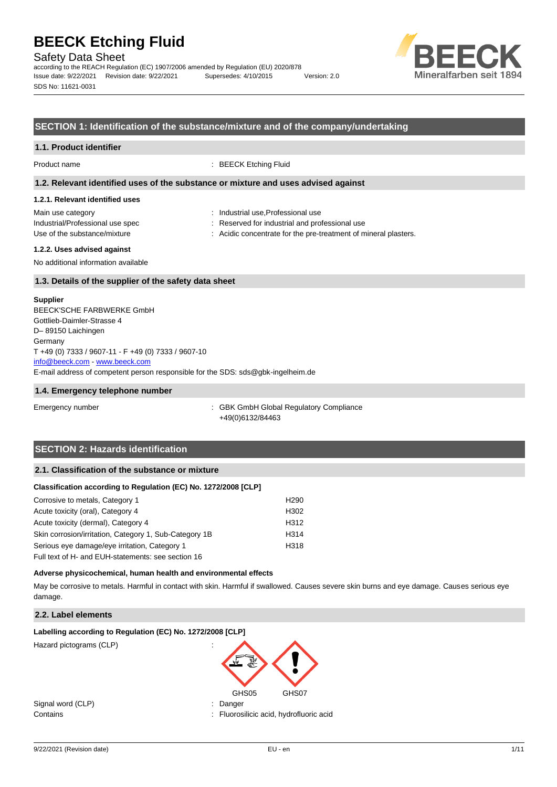Safety Data Sheet

according to the REACH Regulation (EC) 1907/2006 amended by Regulation (EU) 2020/878 Issue date: 9/22/2021 Revision date: 9/22/2021 Supersedes: 4/10/2015 Version: 2.0 SDS No: 11621-0031



## **SECTION 1: Identification of the substance/mixture and of the company/undertaking**

#### **1.1. Product identifier**

Product name : BEECK Etching Fluid

#### **1.2. Relevant identified uses of the substance or mixture and uses advised against**

#### **1.2.1. Relevant identified uses**

Main use category **Main use category : Industrial use, Professional use** 

- 
- Industrial/Professional use spec : Reserved for industrial and professional use
- Use of the substance/mixture in the substance in the substance of mineral plasters.

#### **1.2.2. Uses advised against**

No additional information available

## **1.3. Details of the supplier of the safety data sheet**

#### **Supplier**

E-mail address of competent person responsible for the SDS: sds@gbk-ingelheim.de BEECK'SCHE FARBWERKE GmbH Gottlieb-Daimler-Strasse 4 D– 89150 Laichingen **Germany** T +49 (0) 7333 / 9607-11 - F +49 (0) 7333 / 9607-10 [info@beeck.com](mailto:info@beeck.com) - [www.beeck.com](http://www.beeck.com/)

#### **1.4. Emergency telephone number**

Emergency number : GBK GmbH Global Regulatory Compliance +49(0)6132/84463

# **SECTION 2: Hazards identification**

### **2.1. Classification of the substance or mixture**

#### **Classification according to Regulation (EC) No. 1272/2008 [CLP]**

| Corrosive to metals, Category 1                        | H <sub>290</sub> |
|--------------------------------------------------------|------------------|
| Acute toxicity (oral), Category 4                      | H <sub>302</sub> |
| Acute toxicity (dermal), Category 4                    | H <sub>312</sub> |
| Skin corrosion/irritation, Category 1, Sub-Category 1B | H314             |
| Serious eye damage/eye irritation, Category 1          | H318             |
| Full text of H- and EUH-statements: see section 16     |                  |

#### **Adverse physicochemical, human health and environmental effects**

May be corrosive to metals. Harmful in contact with skin. Harmful if swallowed. Causes severe skin burns and eye damage. Causes serious eye damage.

## **2.2. Label elements**

#### **Labelling according to Regulation (EC) No. 1272/2008 [CLP]**

Hazard pictograms (CLP)



Signal word (CLP)  $\qquad \qquad$ : Danger

Contains : Fluorosilicic acid, hydrofluoric acid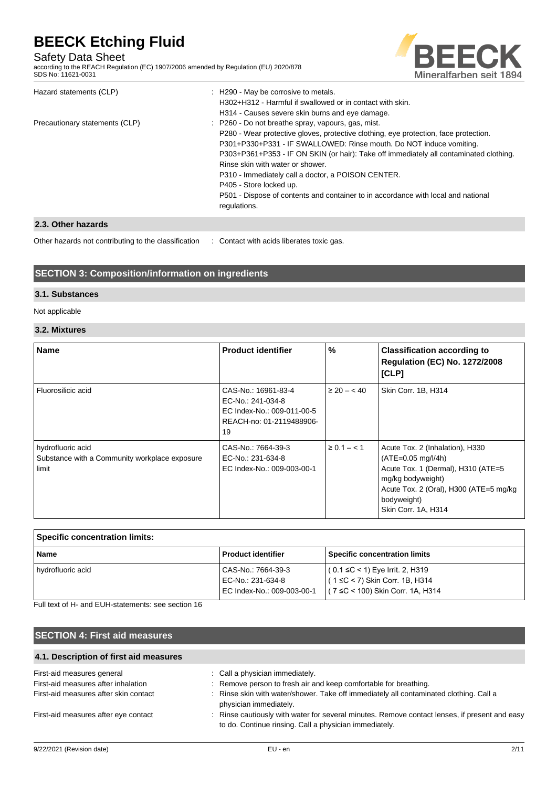# Safety Data Sheet

according to the REACH Regulation (EC) 1907/2006 amended by Regulation (EU) 2020/878 SDS No: 11621-0031



| Hazard statements (CLP)        | : H290 - May be corrosive to metals.<br>H302+H312 - Harmful if swallowed or in contact with skin.<br>H314 - Causes severe skin burns and eye damage.                                              |
|--------------------------------|---------------------------------------------------------------------------------------------------------------------------------------------------------------------------------------------------|
| Precautionary statements (CLP) | : P260 - Do not breathe spray, vapours, gas, mist.<br>P280 - Wear protective gloves, protective clothing, eye protection, face protection.                                                        |
|                                | P301+P330+P331 - IF SWALLOWED: Rinse mouth. Do NOT induce vomiting.<br>P303+P361+P353 - IF ON SKIN (or hair): Take off immediately all contaminated clothing.<br>Rinse skin with water or shower. |
|                                | P310 - Immediately call a doctor, a POISON CENTER.<br>P405 - Store locked up.                                                                                                                     |
|                                | P501 - Dispose of contents and container to in accordance with local and national<br>regulations.                                                                                                 |

# **2.3. Other hazards**

Other hazards not contributing to the classification : Contact with acids liberates toxic gas.

# **SECTION 3: Composition/information on ingredients**

## **3.1. Substances**

Not applicable

# **3.2. Mixtures**

| <b>Name</b>                                                                 | <b>Product identifier</b>                                                                                | $\%$             | <b>Classification according to</b><br><b>Regulation (EC) No. 1272/2008</b><br>[CLP]                                                                                                                 |
|-----------------------------------------------------------------------------|----------------------------------------------------------------------------------------------------------|------------------|-----------------------------------------------------------------------------------------------------------------------------------------------------------------------------------------------------|
| Fluorosilicic acid                                                          | CAS-No.: 16961-83-4<br>EC-No.: 241-034-8<br>EC Index-No.: 009-011-00-5<br>REACH-no: 01-2119488906-<br>19 | $\geq 20 - < 40$ | Skin Corr. 1B, H314                                                                                                                                                                                 |
| hydrofluoric acid<br>Substance with a Community workplace exposure<br>limit | CAS-No.: 7664-39-3<br>EC-No.: 231-634-8<br>EC Index-No.: 009-003-00-1                                    | $\geq 0.1 - 1.1$ | Acute Tox. 2 (Inhalation), H330<br>$(ATE=0.05 mg/l/4h)$<br>Acute Tox. 1 (Dermal), H310 (ATE=5<br>mg/kg bodyweight)<br>Acute Tox. 2 (Oral), H300 (ATE=5 mg/kg)<br>bodyweight)<br>Skin Corr. 1A, H314 |

| <b>Specific concentration limits:</b> |                                                                       |                                                                                                                      |  |
|---------------------------------------|-----------------------------------------------------------------------|----------------------------------------------------------------------------------------------------------------------|--|
| <b>Name</b>                           | <b>Product identifier</b>                                             | Specific concentration limits                                                                                        |  |
| hydrofluoric acid                     | CAS-No.: 7664-39-3<br>EC-No.: 231-634-8<br>EC Index-No.: 009-003-00-1 | $(0.1 ≤ C < 1)$ Eye Irrit. 2, H319<br>$(1 \leq C < 7)$ Skin Corr. 1B, H314<br>$(7 \leq C < 100)$ Skin Corr. 1A, H314 |  |

Full text of H- and EUH-statements: see section 16

# **SECTION 4: First aid measures**

| 4.1. Description of first aid measures |                                                                                                                                                         |
|----------------------------------------|---------------------------------------------------------------------------------------------------------------------------------------------------------|
| First-aid measures general             | : Call a physician immediately.                                                                                                                         |
| First-aid measures after inhalation    | : Remove person to fresh air and keep comfortable for breathing.                                                                                        |
| First-aid measures after skin contact  | : Rinse skin with water/shower. Take off immediately all contaminated clothing. Call a<br>physician immediately.                                        |
| First-aid measures after eye contact   | : Rinse cautiously with water for several minutes. Remove contact lenses, if present and easy<br>to do. Continue rinsing. Call a physician immediately. |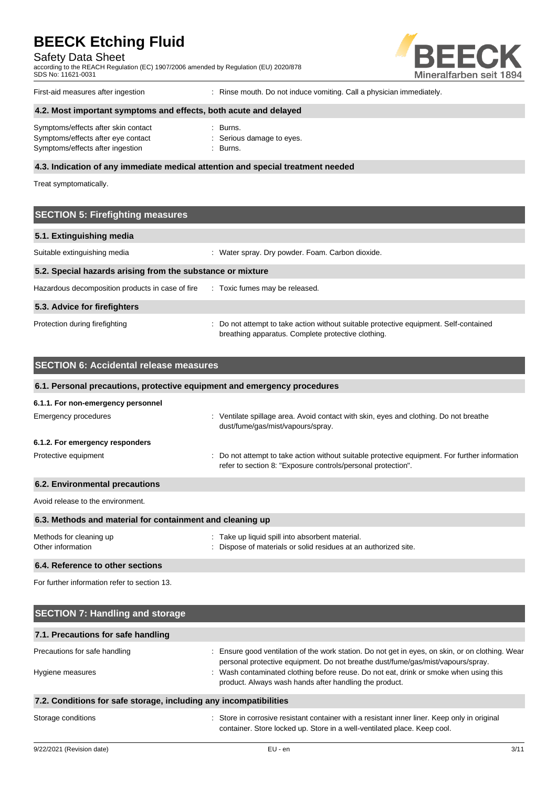Safety Data Sheet

according to the REACH Regulation (EC) 1907/2006 amended by Regulation (EU) 2020/878 SDS No: 11621-0031



First-aid measures after ingestion : Rinse mouth. Do not induce vomiting. Call a physician immediately.

# **4.2. Most important symptoms and effects, both acute and delayed**

| Symptoms/effects after skin contact | : Burns.                  |
|-------------------------------------|---------------------------|
| Symptoms/effects after eye contact  | : Serious damage to eyes. |
| Symptoms/effects after ingestion    | : Burns.                  |

### **4.3. Indication of any immediate medical attention and special treatment needed**

Treat symptomatically.

# **SECTION 5: Firefighting measures 5.1. Extinguishing media** Suitable extinguishing media : Water spray. Dry powder. Foam. Carbon dioxide. **5.2. Special hazards arising from the substance or mixture** Hazardous decomposition products in case of fire : Toxic fumes may be released. **5.3. Advice for firefighters** Protection during firefighting **interval to a statempt to take action without suitable protective equipment. Self-contained** breathing apparatus. Complete protective clothing.

| <b>SECTION 6: Accidental release measures</b>             |                                                                                                                                                                |  |  |  |  |
|-----------------------------------------------------------|----------------------------------------------------------------------------------------------------------------------------------------------------------------|--|--|--|--|
|                                                           | 6.1. Personal precautions, protective equipment and emergency procedures                                                                                       |  |  |  |  |
| 6.1.1. For non-emergency personnel                        |                                                                                                                                                                |  |  |  |  |
| Emergency procedures                                      | : Ventilate spillage area. Avoid contact with skin, eyes and clothing. Do not breathe<br>dust/fume/gas/mist/vapours/spray.                                     |  |  |  |  |
| 6.1.2. For emergency responders                           |                                                                                                                                                                |  |  |  |  |
| Protective equipment                                      | : Do not attempt to take action without suitable protective equipment. For further information<br>refer to section 8: "Exposure controls/personal protection". |  |  |  |  |
| 6.2. Environmental precautions                            |                                                                                                                                                                |  |  |  |  |
| Avoid release to the environment.                         |                                                                                                                                                                |  |  |  |  |
| 6.3. Methods and material for containment and cleaning up |                                                                                                                                                                |  |  |  |  |
| Methods for cleaning up<br>Other information              | : Take up liquid spill into absorbent material.<br>: Dispose of materials or solid residues at an authorized site.                                             |  |  |  |  |
| 6.4. Reference to other sections                          |                                                                                                                                                                |  |  |  |  |
| For further information refer to section 13.              |                                                                                                                                                                |  |  |  |  |

| <b>SECTION 7: Handling and storage</b>                            |                                                                                                                                                                                     |  |  |  |
|-------------------------------------------------------------------|-------------------------------------------------------------------------------------------------------------------------------------------------------------------------------------|--|--|--|
| 7.1. Precautions for safe handling                                |                                                                                                                                                                                     |  |  |  |
| Precautions for safe handling                                     | : Ensure good ventilation of the work station. Do not get in eyes, on skin, or on clothing. Wear<br>personal protective equipment. Do not breathe dust/fume/gas/mist/vapours/spray. |  |  |  |
| Hygiene measures                                                  | : Wash contaminated clothing before reuse. Do not eat, drink or smoke when using this<br>product. Always wash hands after handling the product.                                     |  |  |  |
| 7.2. Conditions for safe storage, including any incompatibilities |                                                                                                                                                                                     |  |  |  |
| Storage conditions                                                | : Store in corrosive resistant container with a resistant inner liner. Keep only in original                                                                                        |  |  |  |

container. Store locked up. Store in a well-ventilated place. Keep cool.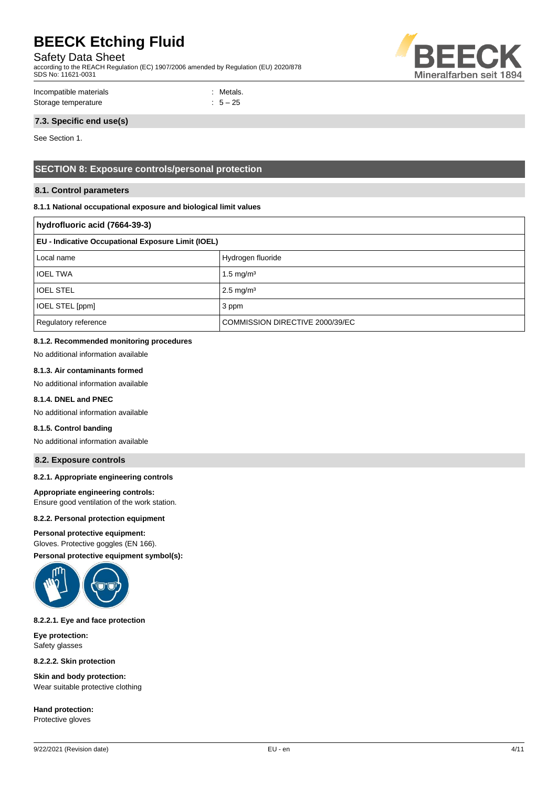Safety Data Sheet

according to the REACH Regulation (EC) 1907/2006 amended by Regulation (EU) 2020/878 SDS No: 11621-0031



Incompatible materials : Metals. Storage temperature  $\qquad \qquad$  : 5 – 25

# **7.3. Specific end use(s)**

See Section 1.

# **SECTION 8: Exposure controls/personal protection**

## **8.1. Control parameters**

### **8.1.1 National occupational exposure and biological limit values**

| hydrofluoric acid (7664-39-3)                      |                                 |  |
|----------------------------------------------------|---------------------------------|--|
| EU - Indicative Occupational Exposure Limit (IOEL) |                                 |  |
| Local name                                         | Hydrogen fluoride               |  |
| <b>IOEL TWA</b>                                    | 1.5 mg/m <sup>3</sup>           |  |
| <b>IOEL STEL</b>                                   | $2.5 \text{ mg/m}^3$            |  |
| IOEL STEL [ppm]                                    | 3 ppm                           |  |
| Regulatory reference                               | COMMISSION DIRECTIVE 2000/39/EC |  |

## **8.1.2. Recommended monitoring procedures**

No additional information available

## **8.1.3. Air contaminants formed**

No additional information available

## **8.1.4. DNEL and PNEC**

No additional information available

## **8.1.5. Control banding**

No additional information available

#### **8.2. Exposure controls**

#### **8.2.1. Appropriate engineering controls**

**Appropriate engineering controls:**

Ensure good ventilation of the work station.

## **8.2.2. Personal protection equipment**

### **Personal protective equipment:**

Gloves. Protective goggles (EN 166).

**Personal protective equipment symbol(s):**



### **8.2.2.1. Eye and face protection**

**Eye protection:** Safety glasses

**8.2.2.2. Skin protection**

**Skin and body protection:** Wear suitable protective clothing

**Hand protection:** Protective gloves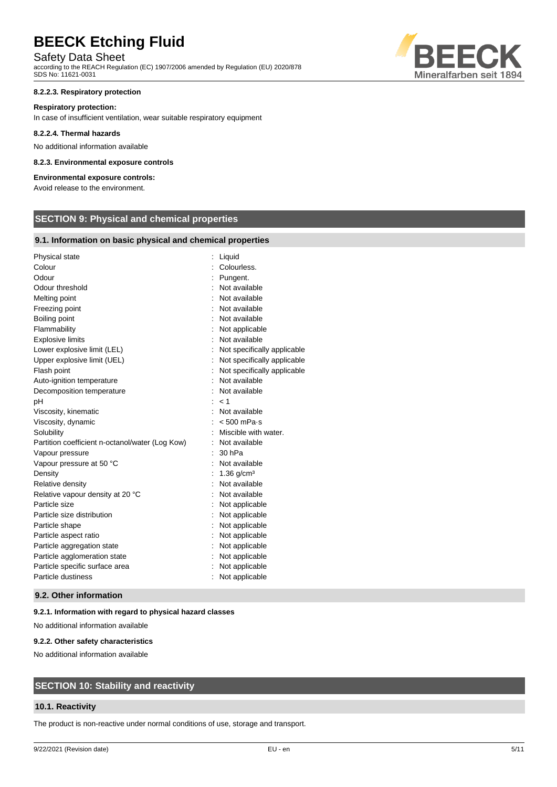# Safety Data Sheet

according to the REACH Regulation (EC) 1907/2006 amended by Regulation (EU) 2020/878 SDS No: 11621-0031

#### **8.2.2.3. Respiratory protection**

#### **Respiratory protection:**

In case of insufficient ventilation, wear suitable respiratory equipment

#### **8.2.2.4. Thermal hazards**

No additional information available

#### **8.2.3. Environmental exposure controls**

# **Environmental exposure controls:**

Avoid release to the environment.

# **SECTION 9: Physical and chemical properties**

## **9.1. Information on basic physical and chemical properties**

| Physical state                                  | Liquid                      |
|-------------------------------------------------|-----------------------------|
| Colour                                          | Colourless.                 |
| Odour                                           | Pungent.                    |
| Odour threshold                                 | Not available               |
| Melting point                                   | Not available               |
| Freezing point                                  | Not available               |
| Boiling point                                   | Not available               |
| Flammability                                    | Not applicable              |
| <b>Explosive limits</b>                         | Not available               |
| Lower explosive limit (LEL)                     | Not specifically applicable |
| Upper explosive limit (UEL)                     | Not specifically applicable |
| Flash point                                     | Not specifically applicable |
| Auto-ignition temperature                       | Not available               |
| Decomposition temperature                       | Not available               |
| pH                                              | < 1                         |
| Viscosity, kinematic                            | Not available               |
| Viscosity, dynamic                              | $< 500$ mPa $\cdot$ s       |
| Solubility                                      | Miscible with water.        |
| Partition coefficient n-octanol/water (Log Kow) | Not available               |
| Vapour pressure                                 | 30 hPa                      |
| Vapour pressure at 50 °C                        | Not available               |
| Density                                         | $1.36$ g/cm <sup>3</sup>    |
| Relative density                                | Not available               |
| Relative vapour density at 20 °C                | Not available               |
| Particle size                                   | Not applicable              |
| Particle size distribution                      | Not applicable              |
| Particle shape                                  | Not applicable              |
| Particle aspect ratio                           | Not applicable              |
| Particle aggregation state                      | Not applicable              |
| Particle agglomeration state                    | Not applicable              |
| Particle specific surface area                  | Not applicable              |
| Particle dustiness                              | Not applicable              |
|                                                 |                             |

#### **9.2. Other information**

#### **9.2.1. Information with regard to physical hazard classes**

No additional information available

#### **9.2.2. Other safety characteristics**

No additional information available

# **SECTION 10: Stability and reactivity**

## **10.1. Reactivity**

The product is non-reactive under normal conditions of use, storage and transport.

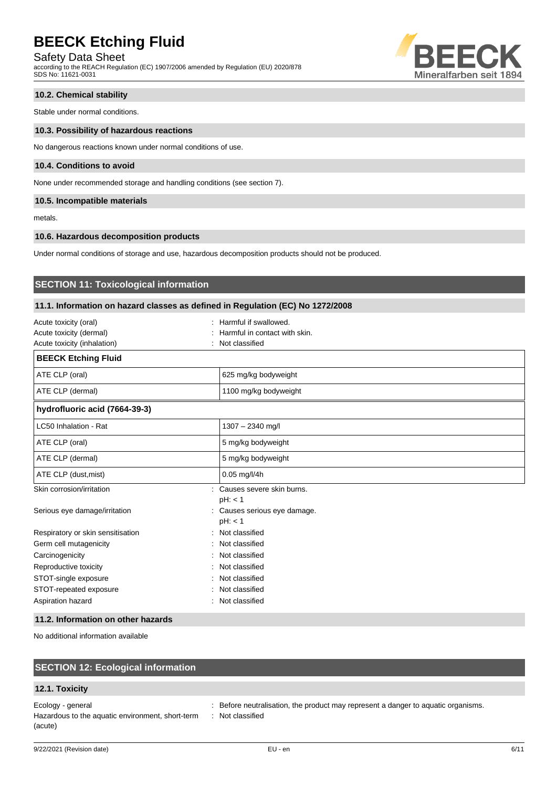Safety Data Sheet

according to the REACH Regulation (EC) 1907/2006 amended by Regulation (EU) 2020/878 SDS No: 11621-0031



# **10.2. Chemical stability**

Stable under normal conditions.

#### **10.3. Possibility of hazardous reactions**

No dangerous reactions known under normal conditions of use.

#### **10.4. Conditions to avoid**

None under recommended storage and handling conditions (see section 7).

## **10.5. Incompatible materials**

metals.

#### **10.6. Hazardous decomposition products**

Under normal conditions of storage and use, hazardous decomposition products should not be produced.

# **SECTION 11: Toxicological information**

## **11.1. Information on hazard classes as defined in Regulation (EC) No 1272/2008**

| Acute toxicity (oral)<br>Acute toxicity (dermal)<br>Acute toxicity (inhalation) | Harmful if swallowed.<br>Harmful in contact with skin.<br>Not classified |
|---------------------------------------------------------------------------------|--------------------------------------------------------------------------|
| <b>BEECK Etching Fluid</b>                                                      |                                                                          |
| ATE CLP (oral)                                                                  | 625 mg/kg bodyweight                                                     |
| ATE CLP (dermal)                                                                | 1100 mg/kg bodyweight                                                    |
| hydrofluoric acid (7664-39-3)                                                   |                                                                          |
| LC50 Inhalation - Rat                                                           | 1307 - 2340 mg/l                                                         |
| ATE CLP (oral)                                                                  | 5 mg/kg bodyweight                                                       |
| ATE CLP (dermal)                                                                | 5 mg/kg bodyweight                                                       |
| ATE CLP (dust, mist)                                                            | $0.05$ mg/l/4h                                                           |
| Skin corrosion/irritation                                                       | : Causes severe skin burns.<br>pH: < 1                                   |
| Serious eye damage/irritation                                                   | : Causes serious eye damage.<br>pH: < 1                                  |
| Respiratory or skin sensitisation                                               | : Not classified                                                         |
| Germ cell mutagenicity                                                          | : Not classified                                                         |
| Carcinogenicity                                                                 | Not classified                                                           |
| Reproductive toxicity                                                           | Not classified                                                           |
| STOT-single exposure                                                            | Not classified                                                           |
| STOT-repeated exposure                                                          | : Not classified                                                         |
| Aspiration hazard                                                               | : Not classified                                                         |

## **11.2. Information on other hazards**

No additional information available

# **SECTION 12: Ecological information**

## **12.1. Toxicity**

Ecology - general interest in the product may represent a danger to aquatic organisms. Hazardous to the aquatic environment, short-term (acute)

: Not classified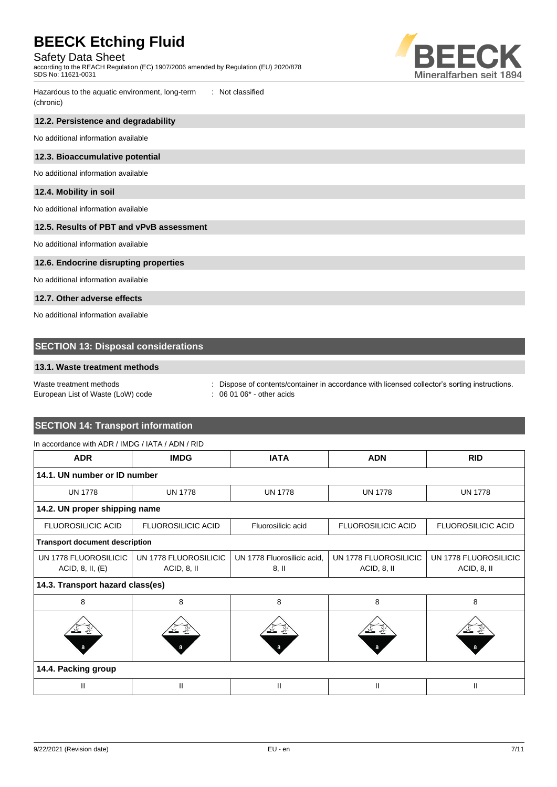Safety Data Sheet

according to the REACH Regulation (EC) 1907/2006 amended by Regulation (EU) 2020/878 SDS No: 11621-0031



Hazardous to the aquatic environment, long-term (chronic) : Not classified

## **12.2. Persistence and degradability**

No additional information available

#### **12.3. Bioaccumulative potential**

No additional information available

## **12.4. Mobility in soil**

No additional information available

#### **12.5. Results of PBT and vPvB assessment**

No additional information available

## **12.6. Endocrine disrupting properties**

No additional information available

### **12.7. Other adverse effects**

No additional information available

# **SECTION 13: Disposal considerations**

## **13.1. Waste treatment methods**

# European List of Waste (LoW) code : 06 01 06\* - other acids

Waste treatment methods **interpretations** : Dispose of contents/container in accordance with licensed collector's sorting instructions.

# **SECTION 14: Transport information** In accordance with ADR / IMDG / IATA / ADN / RID

| <b>ADR</b>                            | <b>IMDG</b>               | <b>IATA</b>                 | <b>ADN</b>                | <b>RID</b>                |  |  |  |
|---------------------------------------|---------------------------|-----------------------------|---------------------------|---------------------------|--|--|--|
| 14.1. UN number or ID number          |                           |                             |                           |                           |  |  |  |
| <b>UN 1778</b>                        | <b>UN 1778</b>            | <b>UN 1778</b>              | <b>UN 1778</b>            | <b>UN 1778</b>            |  |  |  |
| 14.2. UN proper shipping name         |                           |                             |                           |                           |  |  |  |
| <b>FLUOROSILICIC ACID</b>             | <b>FLUOROSILICIC ACID</b> | Fluorosilicic acid          | <b>FLUOROSILICIC ACID</b> | <b>FLUOROSILICIC ACID</b> |  |  |  |
| <b>Transport document description</b> |                           |                             |                           |                           |  |  |  |
| UN 1778 FLUOROSILICIC                 | UN 1778 FLUOROSILICIC     | UN 1778 Fluorosilicic acid, | UN 1778 FLUOROSILICIC     | UN 1778 FLUOROSILICIC     |  |  |  |
| ACID, 8, II, (E)                      | ACID, 8, II               | $8,$ II                     | ACID, 8, II               | ACID, 8, II               |  |  |  |
| 14.3. Transport hazard class(es)      |                           |                             |                           |                           |  |  |  |
| 8                                     | 8                         | 8                           | 8                         | 8                         |  |  |  |
| 曇                                     |                           |                             |                           |                           |  |  |  |
| 14.4. Packing group                   |                           |                             |                           |                           |  |  |  |
| Ш                                     | Ш                         | Ш                           | Ш                         | Ш                         |  |  |  |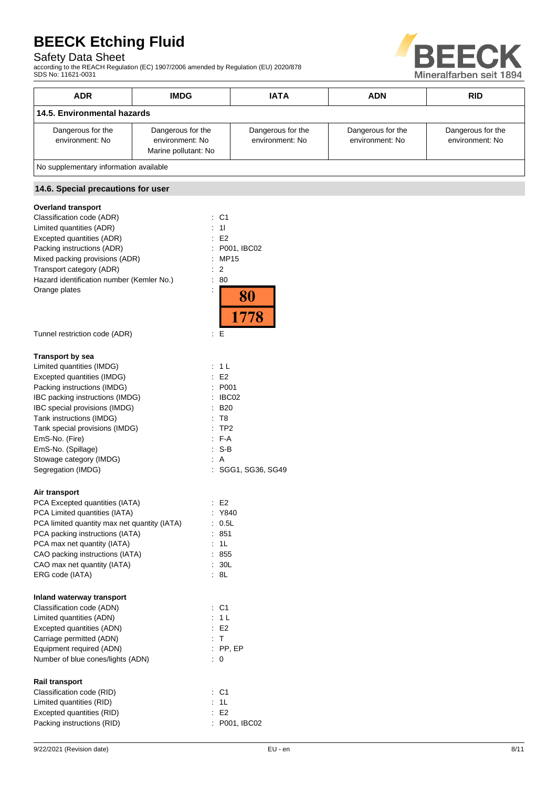# Safety Data Sheet

according to the REACH Regulation (EC) 1907/2006 amended by Regulation (EU) 2020/878 SDS No: 11621-0031



| <b>ADR</b>                                        | <b>IMDG</b>                                                  | <b>IATA</b>                          | <b>ADN</b>                           | <b>RID</b>                           |
|---------------------------------------------------|--------------------------------------------------------------|--------------------------------------|--------------------------------------|--------------------------------------|
|                                                   | 14.5. Environmental hazards                                  |                                      |                                      |                                      |
| Dangerous for the<br>environment: No              | Dangerous for the<br>environment: No<br>Marine pollutant: No | Dangerous for the<br>environment: No | Dangerous for the<br>environment: No | Dangerous for the<br>environment: No |
|                                                   | No supplementary information available                       |                                      |                                      |                                      |
| 14.6. Special precautions for user                |                                                              |                                      |                                      |                                      |
| <b>Overland transport</b>                         |                                                              |                                      |                                      |                                      |
| Classification code (ADR)                         | $\therefore$ C1                                              |                                      |                                      |                                      |
| Limited quantities (ADR)                          |                                                              |                                      |                                      |                                      |
| Excepted quantities (ADR)<br>E2                   |                                                              |                                      |                                      |                                      |
| Packing instructions (ADR)                        |                                                              | : P001, IBC02                        |                                      |                                      |
| Mixed packing provisions (ADR)<br>: MP15          |                                                              |                                      |                                      |                                      |
| Transport category (ADR)<br>$\therefore$ 2        |                                                              |                                      |                                      |                                      |
| Hazard identification number (Kemler No.)<br>: 80 |                                                              |                                      |                                      |                                      |
| Orange plates<br>$\epsilon$                       |                                                              |                                      |                                      |                                      |

1778

Tunnel restriction code (ADR) : E

#### **Transport by sea**

| Limited quantities (IMDG)       | : 1 L                        |
|---------------------------------|------------------------------|
| Excepted quantities (IMDG)      | E2                           |
| Packing instructions (IMDG)     | : P <sub>001</sub>           |
| IBC packing instructions (IMDG) | IBC02                        |
| IBC special provisions (IMDG)   | $\therefore$ B <sub>20</sub> |
| Tank instructions (IMDG)        | : T8                         |
| Tank special provisions (IMDG)  | $:$ TP2                      |
| EmS-No. (Fire)                  | $F-A$                        |
| EmS-No. (Spillage)              | : S-B                        |
| Stowage category (IMDG)         | : A                          |
| Segregation (IMDG)              | : SGG1, SG36, SG49           |
|                                 |                              |

## **Air transport**

| An uunopon                                   |                      |
|----------------------------------------------|----------------------|
| PCA Excepted quantities (IATA)               | E2                   |
| PCA Limited quantities (IATA)                | Y840                 |
| PCA limited quantity max net quantity (IATA) | 0.5L                 |
| PCA packing instructions (IATA)              | 851                  |
| PCA max net quantity (IATA)                  | 1L                   |
| CAO packing instructions (IATA)              | : 855                |
| CAO max net quantity (IATA)                  | : 30L                |
| ERG code (IATA)                              | : 8L                 |
| Inland waterway transport                    |                      |
| Classification code (ADN)                    | C <sub>1</sub><br>t. |
| Limited quantities (ADN)                     | : 1 L                |
| Excepted quantities (ADN)                    | E2                   |
| Carriage permitted (ADN)                     | : T                  |
| Equipment required (ADN)                     | $:$ PP, EP           |
| Number of blue cones/lights (ADN)            | 0                    |
| <b>Rail transport</b>                        |                      |
| Classification code (RID)                    | : C1                 |
| Limited quantities (RID)                     | : 1L                 |
| Excepted quantities (RID)                    | F <sub>2</sub>       |
| Packing instructions (RID)                   | P001, IBC02          |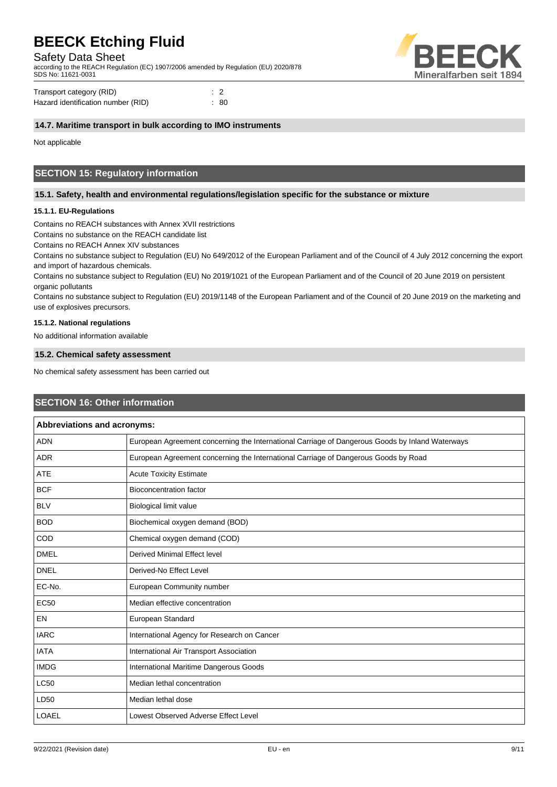Safety Data Sheet

according to the REACH Regulation (EC) 1907/2006 amended by Regulation (EU) 2020/878 SDS No: 11621-0031



| Transport category (RID)           | $\therefore$ 2 |      |
|------------------------------------|----------------|------|
| Hazard identification number (RID) |                | : 80 |

## **14.7. Maritime transport in bulk according to IMO instruments**

Not applicable

# **SECTION 15: Regulatory information**

## **15.1. Safety, health and environmental regulations/legislation specific for the substance or mixture**

## **15.1.1. EU-Regulations**

Contains no REACH substances with Annex XVII restrictions

Contains no substance on the REACH candidate list

Contains no REACH Annex XIV substances

Contains no substance subject to Regulation (EU) No 649/2012 of the European Parliament and of the Council of 4 July 2012 concerning the export and import of hazardous chemicals.

Contains no substance subject to Regulation (EU) No 2019/1021 of the European Parliament and of the Council of 20 June 2019 on persistent organic pollutants

Contains no substance subject to Regulation (EU) 2019/1148 of the European Parliament and of the Council of 20 June 2019 on the marketing and use of explosives precursors.

### **15.1.2. National regulations**

No additional information available

## **15.2. Chemical safety assessment**

No chemical safety assessment has been carried out

## **SECTION 16: Other information**

| Abbreviations and acronyms: |                                                                                                 |  |
|-----------------------------|-------------------------------------------------------------------------------------------------|--|
| <b>ADN</b>                  | European Agreement concerning the International Carriage of Dangerous Goods by Inland Waterways |  |
| <b>ADR</b>                  | European Agreement concerning the International Carriage of Dangerous Goods by Road             |  |
| <b>ATE</b>                  | <b>Acute Toxicity Estimate</b>                                                                  |  |
| <b>BCF</b>                  | <b>Bioconcentration factor</b>                                                                  |  |
| <b>BLV</b>                  | <b>Biological limit value</b>                                                                   |  |
| <b>BOD</b>                  | Biochemical oxygen demand (BOD)                                                                 |  |
| COD                         | Chemical oxygen demand (COD)                                                                    |  |
| <b>DMEL</b>                 | Derived Minimal Effect level                                                                    |  |
| <b>DNEL</b>                 | Derived-No Effect Level                                                                         |  |
| EC-No.                      | European Community number                                                                       |  |
| <b>EC50</b>                 | Median effective concentration                                                                  |  |
| <b>EN</b>                   | European Standard                                                                               |  |
| <b>IARC</b>                 | International Agency for Research on Cancer                                                     |  |
| <b>IATA</b>                 | International Air Transport Association                                                         |  |
| <b>IMDG</b>                 | International Maritime Dangerous Goods                                                          |  |
| <b>LC50</b>                 | Median lethal concentration                                                                     |  |
| LD50                        | Median lethal dose                                                                              |  |
| <b>LOAEL</b>                | Lowest Observed Adverse Effect Level                                                            |  |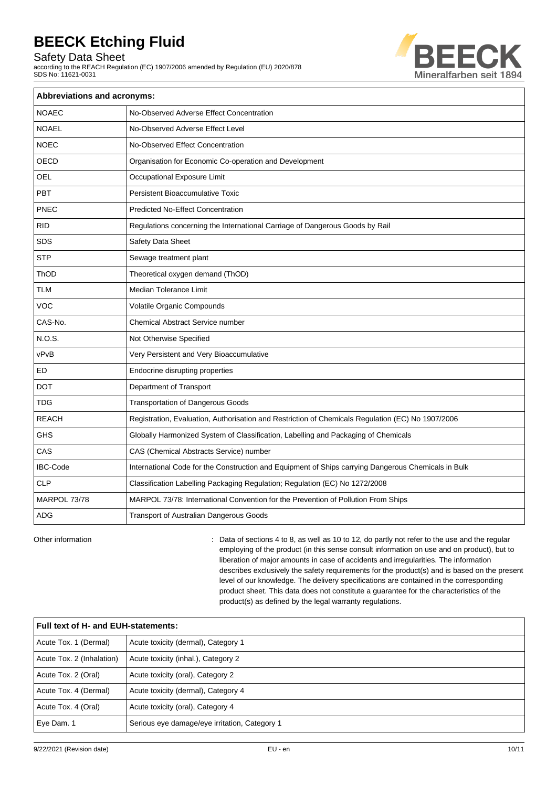Safety Data Sheet

according to the REACH Regulation (EC) 1907/2006 amended by Regulation (EU) 2020/878 SDS No: 11621-0031



| <b>Abbreviations and acronyms:</b> |                                                                                                     |  |  |
|------------------------------------|-----------------------------------------------------------------------------------------------------|--|--|
| <b>NOAEC</b>                       | No-Observed Adverse Effect Concentration                                                            |  |  |
| <b>NOAEL</b>                       | No-Observed Adverse Effect Level                                                                    |  |  |
| <b>NOEC</b>                        | No-Observed Effect Concentration                                                                    |  |  |
| OECD                               | Organisation for Economic Co-operation and Development                                              |  |  |
| OEL                                | Occupational Exposure Limit                                                                         |  |  |
| PBT                                | Persistent Bioaccumulative Toxic                                                                    |  |  |
| PNEC                               | <b>Predicted No-Effect Concentration</b>                                                            |  |  |
| <b>RID</b>                         | Regulations concerning the International Carriage of Dangerous Goods by Rail                        |  |  |
| <b>SDS</b>                         | Safety Data Sheet                                                                                   |  |  |
| STP                                | Sewage treatment plant                                                                              |  |  |
| ThOD                               | Theoretical oxygen demand (ThOD)                                                                    |  |  |
| <b>TLM</b>                         | Median Tolerance Limit                                                                              |  |  |
| <b>VOC</b>                         | Volatile Organic Compounds                                                                          |  |  |
| CAS-No.                            | <b>Chemical Abstract Service number</b>                                                             |  |  |
| <b>N.O.S.</b>                      | Not Otherwise Specified                                                                             |  |  |
| vPvB                               | Very Persistent and Very Bioaccumulative                                                            |  |  |
| ED                                 | Endocrine disrupting properties                                                                     |  |  |
| <b>DOT</b>                         | Department of Transport                                                                             |  |  |
| <b>TDG</b>                         | <b>Transportation of Dangerous Goods</b>                                                            |  |  |
| <b>REACH</b>                       | Registration, Evaluation, Authorisation and Restriction of Chemicals Regulation (EC) No 1907/2006   |  |  |
| <b>GHS</b>                         | Globally Harmonized System of Classification, Labelling and Packaging of Chemicals                  |  |  |
| CAS                                | CAS (Chemical Abstracts Service) number                                                             |  |  |
| <b>IBC-Code</b>                    | International Code for the Construction and Equipment of Ships carrying Dangerous Chemicals in Bulk |  |  |
| <b>CLP</b>                         | Classification Labelling Packaging Regulation; Regulation (EC) No 1272/2008                         |  |  |
| MARPOL 73/78                       | MARPOL 73/78: International Convention for the Prevention of Pollution From Ships                   |  |  |
| <b>ADG</b>                         | Transport of Australian Dangerous Goods                                                             |  |  |

Other information **intervals and the regular**  $\cdot$  Data of sections 4 to 8, as well as 10 to 12, do partly not refer to the use and the regular employing of the product (in this sense consult information on use and on product), but to liberation of major amounts in case of accidents and irregularities. The information describes exclusively the safety requirements for the product(s) and is based on the present level of our knowledge. The delivery specifications are contained in the corresponding product sheet. This data does not constitute a guarantee for the characteristics of the product(s) as defined by the legal warranty regulations.

| Full text of H- and EUH-statements: |                                               |  |
|-------------------------------------|-----------------------------------------------|--|
| Acute Tox. 1 (Dermal)               | Acute toxicity (dermal), Category 1           |  |
| Acute Tox. 2 (Inhalation)           | Acute toxicity (inhal.), Category 2           |  |
| Acute Tox. 2 (Oral)                 | Acute toxicity (oral), Category 2             |  |
| Acute Tox. 4 (Dermal)               | Acute toxicity (dermal), Category 4           |  |
| Acute Tox. 4 (Oral)                 | Acute toxicity (oral), Category 4             |  |
| Eye Dam. 1                          | Serious eye damage/eye irritation, Category 1 |  |